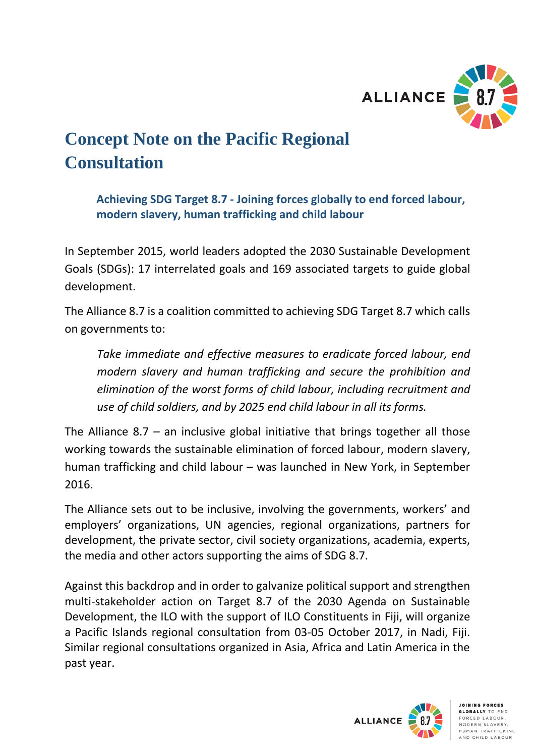

## **Concept Note on the Pacific Regional Consultation**

**Achieving SDG Target 8.7 - Joining forces globally to end forced labour, modern slavery, human trafficking and child labour** 

In September 2015, world leaders adopted the 2030 Sustainable Development Goals (SDGs): 17 interrelated goals and 169 associated targets to guide global development.

The Alliance 8.7 is a coalition committed to achieving SDG Target 8.7 which calls on governments to:

*Take immediate and effective measures to eradicate forced labour, end modern slavery and human trafficking and secure the prohibition and elimination of the worst forms of child labour, including recruitment and use of child soldiers, and by 2025 end child labour in all its forms.*

The Alliance 8.7 *–* an inclusive global initiative that brings together all those working towards the sustainable elimination of forced labour, modern slavery, human trafficking and child labour – was launched in New York, in September 2016.

The Alliance sets out to be inclusive, involving the governments, workers' and employers' organizations, UN agencies, regional organizations, partners for development, the private sector, civil society organizations, academia, experts, the media and other actors supporting the aims of SDG 8.7.

Against this backdrop and in order to galvanize political support and strengthen multi-stakeholder action on Target 8.7 of the 2030 Agenda on Sustainable Development, the ILO with the support of ILO Constituents in Fiji, will organize a Pacific Islands regional consultation from 03-05 October 2017, in Nadi, Fiji. Similar regional consultations organized in Asia, Africa and Latin America in the past year.